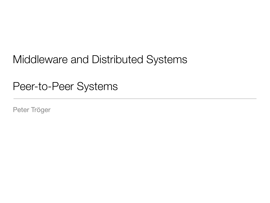## Middleware and Distributed Systems

#### Peer-to-Peer Systems

Peter Tröger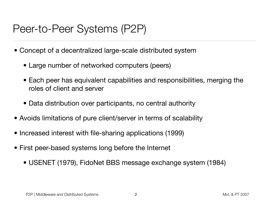#### Peer-to-Peer Systems (P2P)

- Concept of a decentralized large-scale distributed system
	- Large number of networked computers (peers)
	- Each peer has equivalent capabilities and responsibilities, merging the roles of client and server
	- Data distribution over participants, no central authority
- Avoids limitations of pure client/server in terms of scalability
- Increased interest with file-sharing applications (1999)
- First peer-based systems long before the Internet
	- USENET (1979), FidoNet BBS message exchange system (1984)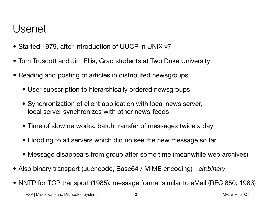#### Usenet

- Started 1979, after introduction of UUCP in UNIX v7
- Tom Truscott and Jim Ellis, Grad students at Two Duke University
- Reading and posting of articles in distributed newsgroups
	- User subscription to hierarchically ordered newsgroups
	- Synchronization of client application with local news server, local server synchronizes with other news-feeds
	- Time of slow networks, batch transfer of messages twice a day
	- Flooding to all servers which did no see the new message so far
	- Message disappears from group after some time (meanwhile web archives)
- Also binary transport (uuencode, Base64 / MIME encoding) *alt.binary*
- NNTP for TCP transport (1985), message format similar to eMail (RFC 850, 1983)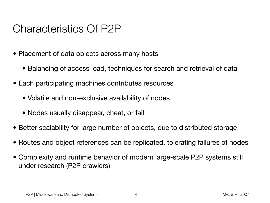#### Characteristics Of P2P

- Placement of data objects across many hosts
	- Balancing of access load, techniques for search and retrieval of data
- Each participating machines contributes resources
	- Volatile and non-exclusive availability of nodes
	- Nodes usually disappear, cheat, or fail
- Better scalability for large number of objects, due to distributed storage
- Routes and object references can be replicated, tolerating failures of nodes
- Complexity and runtime behavior of modern large-scale P2P systems still under research (P2P crawlers)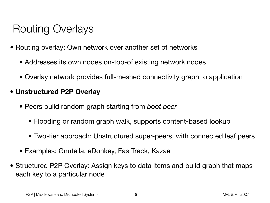## Routing Overlays

- Routing overlay: Own network over another set of networks
	- Addresses its own nodes on-top-of existing network nodes
	- Overlay network provides full-meshed connectivity graph to application

#### **• Unstructured P2P Overlay**

- Peers build random graph starting from *boot peer*
	- Flooding or random graph walk, supports content-based lookup
	- Two-tier approach: Unstructured super-peers, with connected leaf peers
- Examples: Gnutella, eDonkey, FastTrack, Kazaa
- Structured P2P Overlay: Assign keys to data items and build graph that maps each key to a particular node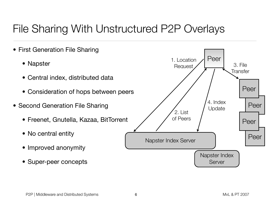# File Sharing With Unstructured P2P Overlays

• First Generation File Sharing • Napster • Central index, distributed data • Consideration of hops between peers • Second Generation File Sharing • Freenet, Gnutella, Kazaa, BitTorrent • No central entity • Improved anonymity • Super-peer concepts Napster Index Server Napster Index Server Peer Peer Peer Peer Peer 4. Index Update 1. Location Request 2. List of Peers 3. File **Transfer**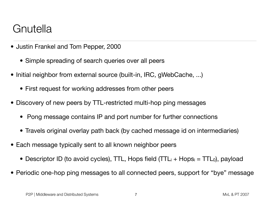## Gnutella

- Justin Frankel and Tom Pepper, 2000
	- Simple spreading of search queries over all peers
- Initial neighbor from external source (built-in, IRC, gWebCache, ...)
	- First request for working addresses from other peers
- Discovery of new peers by TTL-restricted multi-hop ping messages
	- Pong message contains IP and port number for further connections
	- Travels original overlay path back (by cached message id on intermediaries)
- Each message typically sent to all known neighbor peers
	- Descriptor ID (to avoid cycles), TTL, Hops field  $(TTL_i + Hops_i = TTL_0)$ , payload
- Periodic one-hop ping messages to all connected peers, support for "bye" message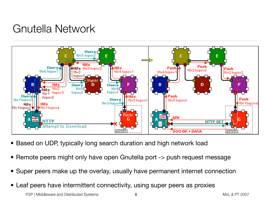## Gnutella Network



- Based on UDP, typically long search duration and high network load
- Remote peers might only have open Gnutella port -> push request message
- Super peers make up the overlay, usually have permanent internet connection
- Leaf peers have intermittent connectivity, using super peers as proxies

P2P | Middleware and Distributed Systems 6 and 1000 million was a series of the MvL & PT 2007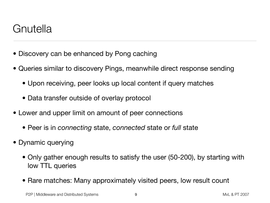#### Gnutella

- Discovery can be enhanced by Pong caching
- Queries similar to discovery Pings, meanwhile direct response sending
	- Upon receiving, peer looks up local content if query matches
	- Data transfer outside of overlay protocol
- Lower and upper limit on amount of peer connections
	- Peer is in *connecting* state, *connected* state or *full* state
- Dynamic querying
	- Only gather enough results to satisfy the user (50-200), by starting with low TTL queries
	- Rare matches: Many approximately visited peers, low result count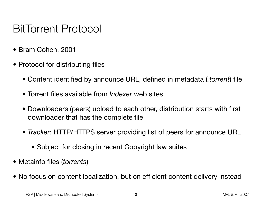## BitTorrent Protocol

- Bram Cohen, 2001
- Protocol for distributing files
	- Content identified by announce URL, defined in metadata (*.torrent*) file
	- Torrent files available from *Indexer* web sites
	- Downloaders (peers) upload to each other, distribution starts with first downloader that has the complete file
	- *Tracker*: HTTP/HTTPS server providing list of peers for announce URL
		- Subject for closing in recent Copyright law suites
- Metainfo files (*torrents*)
- No focus on content localization, but on efficient content delivery instead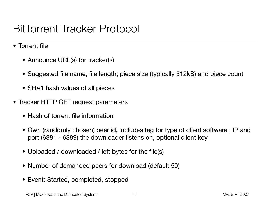### BitTorrent Tracker Protocol

- Torrent file
	- Announce URL(s) for tracker(s)
	- Suggested file name, file length; piece size (typically 512kB) and piece count
	- SHA1 hash values of all pieces
- Tracker HTTP GET request parameters
	- Hash of torrent file information
	- Own (randomly chosen) peer id, includes tag for type of client software ; IP and port (6881 - 6889) the downloader listens on, optional client key
	- Uploaded / downloaded / left bytes for the file(s)
	- Number of demanded peers for download (default 50)
	- Event: Started, completed, stopped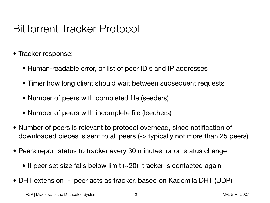#### BitTorrent Tracker Protocol

- Tracker response:
	- Human-readable error, or list of peer ID's and IP addresses
	- Timer how long client should wait between subsequent requests
	- Number of peers with completed file (seeders)
	- Number of peers with incomplete file (leechers)
- Number of peers is relevant to protocol overhead, since notification of downloaded pieces is sent to all peers (-> typically not more than 25 peers)
- Peers report status to tracker every 30 minutes, or on status change
	- If peer set size falls below limit (~20), tracker is contacted again
- DHT extension peer acts as tracker, based on Kademila DHT (UDP)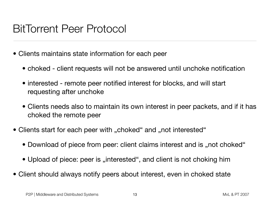#### BitTorrent Peer Protocol

- Clients maintains state information for each peer
	- choked client requests will not be answered until unchoke notification
	- interested remote peer notified interest for blocks, and will start requesting after unchoke
	- Clients needs also to maintain its own interest in peer packets, and if it has choked the remote peer
- Clients start for each peer with "choked" and "not interested"
	- Download of piece from peer: client claims interest and is "not choked"
	- Upload of piece: peer is "interested", and client is not choking him
- Client should always notify peers about interest, even in choked state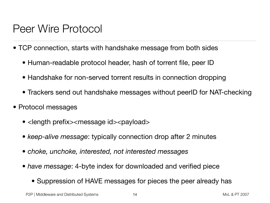#### Peer Wire Protocol

- TCP connection, starts with handshake message from both sides
	- Human-readable protocol header, hash of torrent file, peer ID
	- Handshake for non-served torrent results in connection dropping
	- Trackers send out handshake messages without peerID for NAT-checking
- Protocol messages
	- < length prefix> < message id > < payload >
	- *keep-alive message*: typically connection drop after 2 minutes
	- *choke, unchoke, interested, not interested messages*
	- *have message*: 4-byte index for downloaded and verified piece
		- Suppression of HAVE messages for pieces the peer already has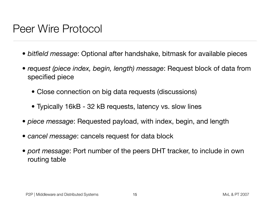#### Peer Wire Protocol

- *bitfield message*: Optional after handshake, bitmask for available pieces
- *request (piece index, begin, length) message*: Request block of data from specified piece
	- Close connection on big data requests (discussions)
	- Typically 16kB 32 kB requests, latency vs. slow lines
- *piece message*: Requested payload, with index, begin, and length
- *cancel message*: cancels request for data block
- *port message*: Port number of the peers DHT tracker, to include in own routing table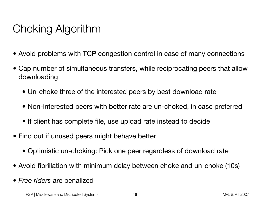## Choking Algorithm

- Avoid problems with TCP congestion control in case of many connections
- Cap number of simultaneous transfers, while reciprocating peers that allow downloading
	- Un-choke three of the interested peers by best download rate
	- Non-interested peers with better rate are un-choked, in case preferred
	- If client has complete file, use upload rate instead to decide
- Find out if unused peers might behave better
	- Optimistic un-choking: Pick one peer regardless of download rate
- Avoid fibrillation with minimum delay between choke and un-choke (10s)
- *Free riders* are penalized

P2P | Middleware and Distributed Systems **16** and  $\frac{1}{2007}$  and  $\frac{1}{2007}$  and  $\frac{1}{2007}$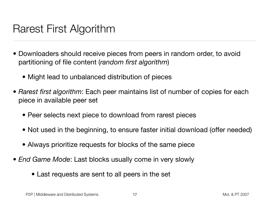#### Rarest First Algorithm

- Downloaders should receive pieces from peers in random order, to avoid partitioning of file content (*random first algorithm*)
	- Might lead to unbalanced distribution of pieces
- *Rarest first algorithm*: Each peer maintains list of number of copies for each piece in available peer set
	- Peer selects next piece to download from rarest pieces
	- Not used in the beginning, to ensure faster initial download (offer needed)
	- Always prioritize requests for blocks of the same piece
- *End Game Mode*: Last blocks usually come in very slowly
	- Last requests are sent to all peers in the set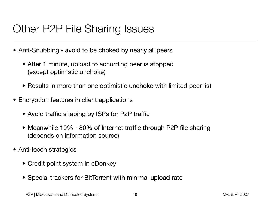## Other P2P File Sharing Issues

- Anti-Snubbing avoid to be choked by nearly all peers
	- After 1 minute, upload to according peer is stopped (except optimistic unchoke)
	- Results in more than one optimistic unchoke with limited peer list
- Encryption features in client applications
	- Avoid traffic shaping by ISPs for P2P traffic
	- Meanwhile 10% 80% of Internet traffic through P2P file sharing (depends on information source)
- Anti-leech strategies
	- Credit point system in eDonkey
	- Special trackers for BitTorrent with minimal upload rate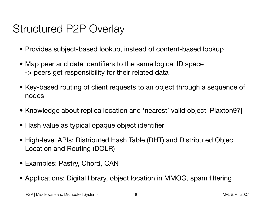## Structured P2P Overlay

- Provides subject-based lookup, instead of content-based lookup
- Map peer and data identifiers to the same logical ID space -> peers get responsibility for their related data
- Key-based routing of client requests to an object through a sequence of nodes
- Knowledge about replica location and 'nearest' valid object [Plaxton97]
- Hash value as typical opaque object identifier
- High-level APIs: Distributed Hash Table (DHT) and Distributed Object Location and Routing (DOLR)
- Examples: Pastry, Chord, CAN
- Applications: Digital library, object location in MMOG, spam filtering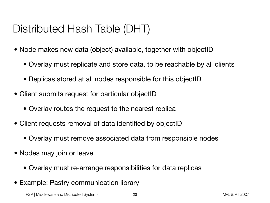# Distributed Hash Table (DHT)

- Node makes new data (object) available, together with objectID
	- Overlay must replicate and store data, to be reachable by all clients
	- Replicas stored at all nodes responsible for this objectID
- Client submits request for particular objectID
	- Overlay routes the request to the nearest replica
- Client requests removal of data identified by objectID
	- Overlay must remove associated data from responsible nodes
- Nodes may join or leave
	- Overlay must re-arrange responsibilities for data replicas
- Example: Pastry communication library

P2P | Middleware and Distributed Systems **20** 20 MyL & PT 2007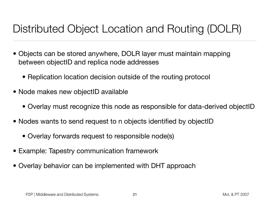# Distributed Object Location and Routing (DOLR)

- Objects can be stored anywhere, DOLR layer must maintain mapping between objectID and replica node addresses
	- Replication location decision outside of the routing protocol
- Node makes new objectID available
	- Overlay must recognize this node as responsible for data-derived objectID
- Nodes wants to send request to n objects identified by objectID
	- Overlay forwards request to responsible node(s)
- Example: Tapestry communication framework
- Overlay behavior can be implemented with DHT approach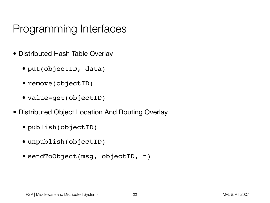## Programming Interfaces

- Distributed Hash Table Overlay
	- put(objectID, data)
	- remove(objectID)
	- value=get(objectID)
- Distributed Object Location And Routing Overlay
	- publish(objectID)
	- unpublish(objectID)
	- sendToObject(msg, objectID, n)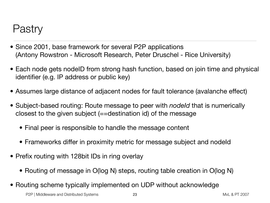#### Pastry

- Since 2001, base framework for several P2P applications (Antony Rowstron - Microsoft Research, Peter Druschel - Rice University)
- Each node gets nodeID from strong hash function, based on join time and physical identifier (e.g. IP address or public key)
- Assumes large distance of adjacent nodes for fault tolerance (avalanche effect)
- Subject-based routing: Route message to peer with *nodeId* that is numerically closest to the given subject (==destination id) of the message
	- Final peer is responsible to handle the message content
	- Frameworks differ in proximity metric for message subject and nodeld
- Prefix routing with 128bit IDs in ring overlay
	- Routing of message in O(log N) steps, routing table creation in O(log N)
- Routing scheme typically implemented on UDP without acknowledge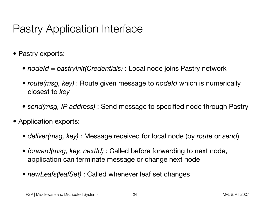## Pastry Application Interface

- Pastry exports:
	- *nodeId = pastryInit(Credentials)* : Local node joins Pastry network
	- *route(msg, key)* : Route given message to *nodeld* which is numerically closest to *key*
	- *send(msg, IP address)* : Send message to specified node through Pastry
- Application exports:
	- *deliver(msg, key)* : Message received for local node (by *route* or *send*)
	- *forward(msg, key, nextId)* : Called before forwarding to next node, application can terminate message or change next node
	- *newLeafs(leafSet)* : Called whenever leaf set changes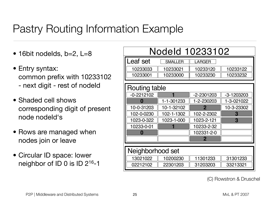## Pastry Routing Information Example

- $\bullet$  16bit nodelds, b=2, L=8
- Entry syntax: common prefix with 10233102 - next digit - rest of nodeId
- Shaded cell shows corresponding digit of present node nodeld's
- Rows are managed when nodes join or leave
- Circular ID space: lower neighbor of ID 0 is ID 216-1

| Nodeld 10233102  |                |                |                |
|------------------|----------------|----------------|----------------|
| Leaf set         | <b>SMALLER</b> | <b>LARGER</b>  |                |
| 10233033         | 10233021       | 10233120       | 10233122       |
| 10233001         | 10233000       | 10233230       | 10233232       |
| Routing table    |                |                |                |
| $-0-2212102$     | 1              | $-2 - 2301203$ | $-3 - 1203203$ |
|                  | 1-1-301233     | 1-2-230203     | 1-3-021022     |
| 10-0-31203       | 10-1-32102     | $\overline{2}$ | 10-3-23302     |
| 102-0-0230       | 102-1-1302     | 102-2-2302     | З              |
| 1023-0-322       | 1023-1-000     | 1023-2-121     | 3              |
| 10233-0-01       |                | 10233-2-32     |                |
| O                |                | 102331-2-0     |                |
|                  |                | 2              |                |
|                  |                |                |                |
| Neighborhood set |                |                |                |
| 13021022         | 10200230       | 11301233       | 31301233       |
| 02212102         | 22301203       | 31203203       | 33213321       |

(C) Rowstron & Druschel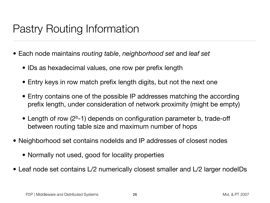## Pastry Routing Information

- Each node maintains *routing table*, *neighborhood set* and *leaf set*
	- IDs as hexadecimal values, one row per prefix length
	- Entry keys in row match prefix length digits, but not the next one
	- Entry contains one of the possible IP addresses matching the according prefix length, under consideration of network proximity (might be empty)
	- Length of row  $(2<sup>b</sup>-1)$  depends on configuration parameter b, trade-off between routing table size and maximum number of hops
- Neighborhood set contains nodelds and IP addresses of closest nodes
	- Normally not used, good for locality properties
- Leaf node set contains L/2 numerically closest smaller and L/2 larger nodelDs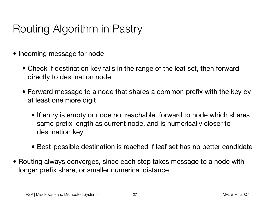## Routing Algorithm in Pastry

- Incoming message for node
	- Check if destination key falls in the range of the leaf set, then forward directly to destination node
	- Forward message to a node that shares a common prefix with the key by at least one more digit
		- If entry is empty or node not reachable, forward to node which shares same prefix length as current node, and is numerically closer to destination key
		- Best-possible destination is reached if leaf set has no better candidate
- Routing always converges, since each step takes message to a node with longer prefix share, or smaller numerical distance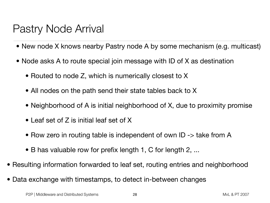## Pastry Node Arrival

- New node X knows nearby Pastry node A by some mechanism (e.g. multicast)
- Node asks A to route special join message with ID of X as destination
	- Routed to node Z, which is numerically closest to X
	- All nodes on the path send their state tables back to X
	- Neighborhood of A is initial neighborhood of X, due to proximity promise
	- Leaf set of Z is initial leaf set of X
	- Row zero in routing table is independent of own ID -> take from A
	- B has valuable row for prefix length 1, C for length 2, ...
- Resulting information forwarded to leaf set, routing entries and neighborhood
- Data exchange with timestamps, to detect in-between changes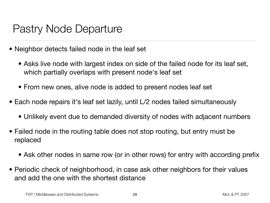#### Pastry Node Departure

- Neighbor detects failed node in the leaf set
	- Asks live node with largest index on side of the failed node for its leaf set, which partially overlaps with present node's leaf set
	- From new ones, alive node is added to present nodes leaf set
- Each node repairs it's leaf set lazily, until L/2 nodes failed simultaneously
	- Unlikely event due to demanded diversity of nodes with adjacent numbers
- Failed node in the routing table does not stop routing, but entry must be replaced
	- Ask other nodes in same row (or in other rows) for entry with according prefix
- Periodic check of neighborhood, in case ask other neighbors for their values and add the one with the shortest distance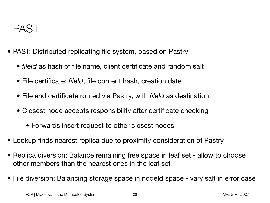#### PAST

- PAST: Distributed replicating file system, based on Pastry
	- *fileId* as hash of file name, client certificate and random salt
	- File certificate: *fileId*, file content hash, creation date
	- File and certificate routed via Pastry, with *fileId* as destination
	- Closest node accepts responsibility after certificate checking
		- Forwards insert request to other closest nodes
- Lookup finds nearest replica due to proximity consideration of Pastry
- Replica diversion: Balance remaining free space in leaf set allow to choose other members than the nearest ones in the leaf set
- File diversion: Balancing storage space in nodeld space vary salt in error case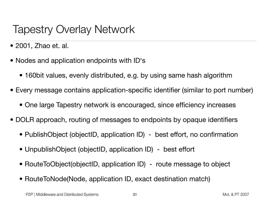### Tapestry Overlay Network

- 2001, Zhao et. al.
- Nodes and application endpoints with ID's
	- 160bit values, evenly distributed, e.g. by using same hash algorithm
- Every message contains application-specific identifier (similar to port number)
	- One large Tapestry network is encouraged, since efficiency increases
- DOLR approach, routing of messages to endpoints by opaque identifiers
	- PublishObject (objectID, application ID) best effort, no confirmation
	- UnpublishObject (objectID, application ID) best effort
	- RouteToObject(objectID, application ID) route message to object
	- RouteToNode(Node, application ID, exact destination match)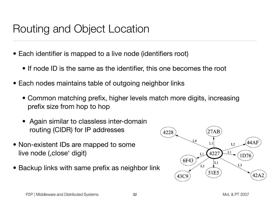## Routing and Object Location

- Each identifier is mapped to a live node (identifiers root)
	- If node ID is the same as the identifier, this one becomes the root
- Each nodes maintains table of outgoing neighbor links
	- Common matching prefix, higher levels match more digits, increasing prefix size from hop to hop
	- Again similar to classless inter-domain routing (CIDR) for IP addresses
- Non-existent IDs are mapped to some live node (, close digit)
- Backup links with same prefix as neighbor link

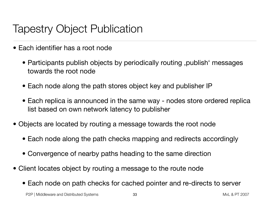## Tapestry Object Publication

- Each identifier has a root node
	- Participants publish objects by periodically routing , publish 'messages towards the root node
	- Each node along the path stores object key and publisher IP
	- Each replica is announced in the same way nodes store ordered replica list based on own network latency to publisher
- Objects are located by routing a message towards the root node
	- Each node along the path checks mapping and redirects accordingly
	- Convergence of nearby paths heading to the same direction
- Client locates object by routing a message to the route node
	- Each node on path checks for cached pointer and re-directs to server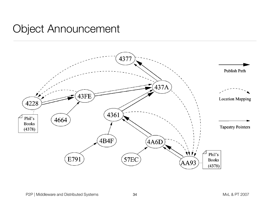#### $\sim$  root given the previous hop number, , and the destination  $\sim$ Object Announcement